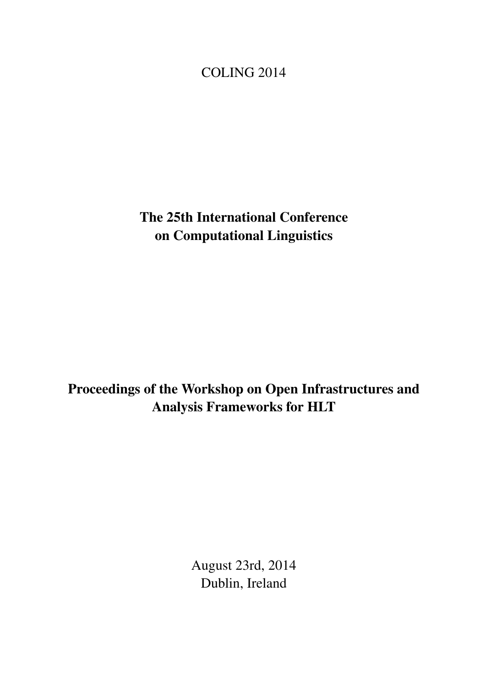## <span id="page-0-0"></span>COLING 2014

The 25th International Conference on Computational Linguistics

# Proceedings of the Workshop on Open Infrastructures and Analysis Frameworks for HLT

August 23rd, 2014 Dublin, Ireland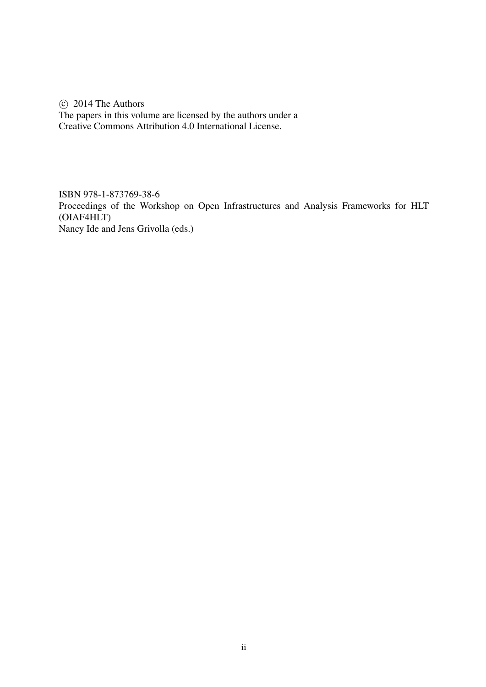$\circ$  2014 The Authors The papers in this volume are licensed by the authors under a Creative Commons Attribution 4.0 International License.

ISBN 978-1-873769-38-6 Proceedings of the Workshop on Open Infrastructures and Analysis Frameworks for HLT (OIAF4HLT) Nancy Ide and Jens Grivolla (eds.)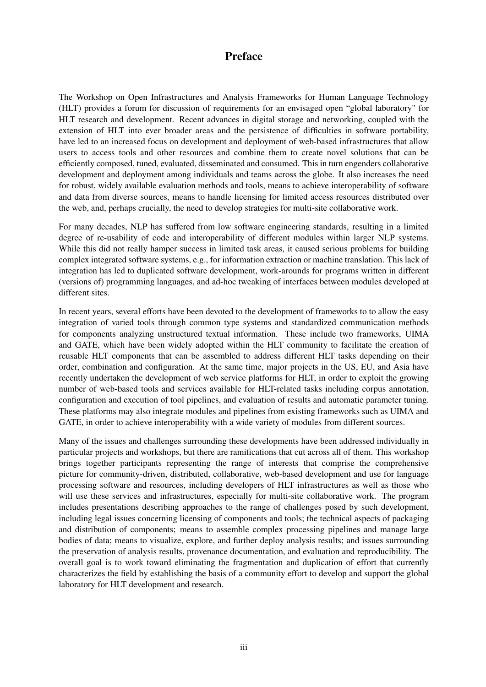## Preface

The Workshop on Open Infrastructures and Analysis Frameworks for Human Language Technology (HLT) provides a forum for discussion of requirements for an envisaged open "global laboratory" for HLT research and development. Recent advances in digital storage and networking, coupled with the extension of HLT into ever broader areas and the persistence of difficulties in software portability, have led to an increased focus on development and deployment of web-based infrastructures that allow users to access tools and other resources and combine them to create novel solutions that can be efficiently composed, tuned, evaluated, disseminated and consumed. This in turn engenders collaborative development and deployment among individuals and teams across the globe. It also increases the need for robust, widely available evaluation methods and tools, means to achieve interoperability of software and data from diverse sources, means to handle licensing for limited access resources distributed over the web, and, perhaps crucially, the need to develop strategies for multi-site collaborative work.

For many decades, NLP has suffered from low software engineering standards, resulting in a limited degree of re-usability of code and interoperability of different modules within larger NLP systems. While this did not really hamper success in limited task areas, it caused serious problems for building complex integrated software systems, e.g., for information extraction or machine translation. This lack of integration has led to duplicated software development, work-arounds for programs written in different (versions of) programming languages, and ad-hoc tweaking of interfaces between modules developed at different sites.

In recent years, several efforts have been devoted to the development of frameworks to to allow the easy integration of varied tools through common type systems and standardized communication methods for components analyzing unstructured textual information. These include two frameworks, UIMA and GATE, which have been widely adopted within the HLT community to facilitate the creation of reusable HLT components that can be assembled to address different HLT tasks depending on their order, combination and configuration. At the same time, major projects in the US, EU, and Asia have recently undertaken the development of web service platforms for HLT, in order to exploit the growing number of web-based tools and services available for HLT-related tasks including corpus annotation, configuration and execution of tool pipelines, and evaluation of results and automatic parameter tuning. These platforms may also integrate modules and pipelines from existing frameworks such as UIMA and GATE, in order to achieve interoperability with a wide variety of modules from different sources.

Many of the issues and challenges surrounding these developments have been addressed individually in particular projects and workshops, but there are ramifications that cut across all of them. This workshop brings together participants representing the range of interests that comprise the comprehensive picture for community-driven, distributed, collaborative, web-based development and use for language processing software and resources, including developers of HLT infrastructures as well as those who will use these services and infrastructures, especially for multi-site collaborative work. The program includes presentations describing approaches to the range of challenges posed by such development, including legal issues concerning licensing of components and tools; the technical aspects of packaging and distribution of components; means to assemble complex processing pipelines and manage large bodies of data; means to visualize, explore, and further deploy analysis results; and issues surrounding the preservation of analysis results, provenance documentation, and evaluation and reproducibility. The overall goal is to work toward eliminating the fragmentation and duplication of effort that currently characterizes the field by establishing the basis of a community effort to develop and support the global laboratory for HLT development and research.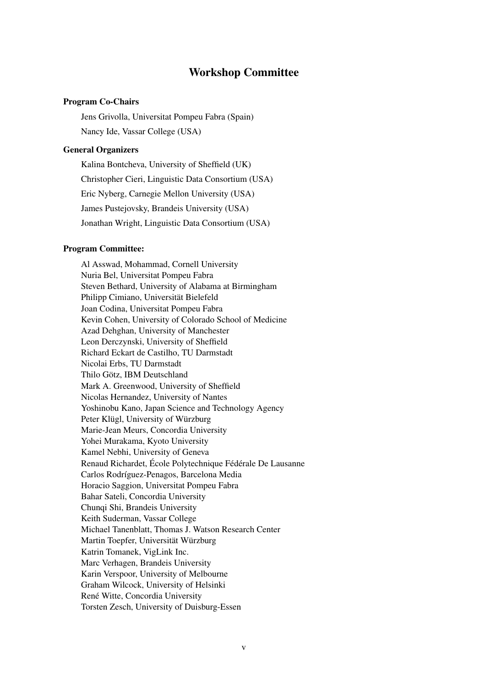### Workshop Committee

#### Program Co-Chairs

Jens Grivolla, Universitat Pompeu Fabra (Spain) Nancy Ide, Vassar College (USA)

#### General Organizers

Kalina Bontcheva, University of Sheffield (UK) Christopher Cieri, Linguistic Data Consortium (USA) Eric Nyberg, Carnegie Mellon University (USA) James Pustejovsky, Brandeis University (USA) Jonathan Wright, Linguistic Data Consortium (USA)

#### Program Committee:

Al Asswad, Mohammad, Cornell University Nuria Bel, Universitat Pompeu Fabra Steven Bethard, University of Alabama at Birmingham Philipp Cimiano, Universität Bielefeld Joan Codina, Universitat Pompeu Fabra Kevin Cohen, University of Colorado School of Medicine Azad Dehghan, University of Manchester Leon Derczynski, University of Sheffield Richard Eckart de Castilho, TU Darmstadt Nicolai Erbs, TU Darmstadt Thilo Götz, IBM Deutschland Mark A. Greenwood, University of Sheffield Nicolas Hernandez, University of Nantes Yoshinobu Kano, Japan Science and Technology Agency Peter Klügl, University of Würzburg Marie-Jean Meurs, Concordia University Yohei Murakama, Kyoto University Kamel Nebhi, University of Geneva Renaud Richardet, École Polytechnique Fédérale De Lausanne Carlos Rodríguez-Penagos, Barcelona Media Horacio Saggion, Universitat Pompeu Fabra Bahar Sateli, Concordia University Chunqi Shi, Brandeis University Keith Suderman, Vassar College Michael Tanenblatt, Thomas J. Watson Research Center Martin Toepfer, Universität Würzburg Katrin Tomanek, VigLink Inc. Marc Verhagen, Brandeis University Karin Verspoor, University of Melbourne Graham Wilcock, University of Helsinki René Witte, Concordia University Torsten Zesch, University of Duisburg-Essen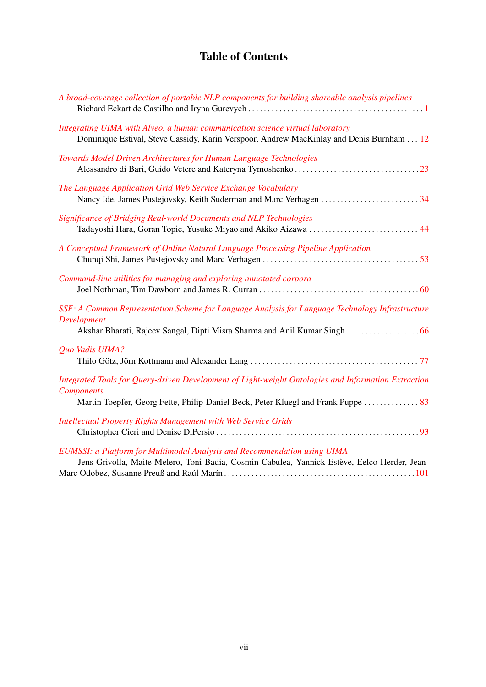## Table of Contents

| A broad-coverage collection of portable NLP components for building shareable analysis pipelines                                                                                                              |
|---------------------------------------------------------------------------------------------------------------------------------------------------------------------------------------------------------------|
| Integrating UIMA with Alveo, a human communication science virtual laboratory<br>Dominique Estival, Steve Cassidy, Karin Verspoor, Andrew MacKinlay and Denis Burnham 12                                      |
| Towards Model Driven Architectures for Human Language Technologies                                                                                                                                            |
| The Language Application Grid Web Service Exchange Vocabulary                                                                                                                                                 |
| Significance of Bridging Real-world Documents and NLP Technologies<br>Tadayoshi Hara, Goran Topic, Yusuke Miyao and Akiko Aizawa  44                                                                          |
| A Conceptual Framework of Online Natural Language Processing Pipeline Application                                                                                                                             |
| Command-line utilities for managing and exploring annotated corpora                                                                                                                                           |
| SSF: A Common Representation Scheme for Language Analysis for Language Technology Infrastructure<br>Development                                                                                               |
| Quo Vadis UIMA?                                                                                                                                                                                               |
| Integrated Tools for Query-driven Development of Light-weight Ontologies and Information Extraction<br><b>Components</b><br>Martin Toepfer, Georg Fette, Philip-Daniel Beck, Peter Kluegl and Frank Puppe  83 |
| <b>Intellectual Property Rights Management with Web Service Grids</b>                                                                                                                                         |
| EUMSSI: a Platform for Multimodal Analysis and Recommendation using UIMA<br>Jens Grivolla, Maite Melero, Toni Badia, Cosmin Cabulea, Yannick Estève, Eelco Herder, Jean-                                      |

Marc Odobez, Susanne Preuß and Raúl Marín . . . . . . . . . . . . . . . . . . . . . . . . . . . . . . . . . . . . . . . . . . . . . . . . . [101](#page-0-0)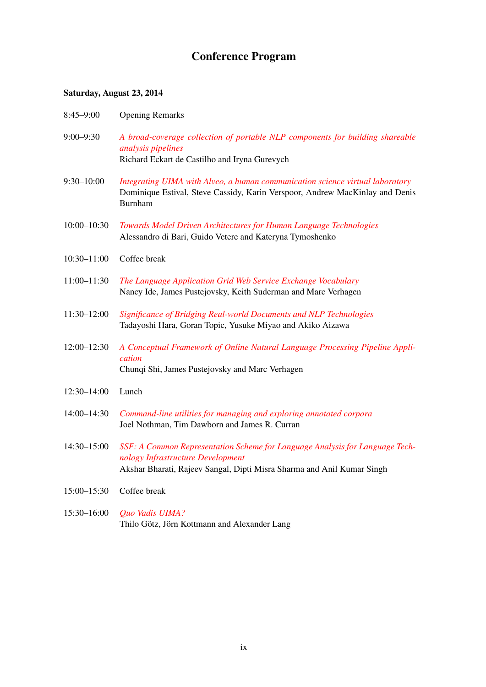# Conference Program

### Saturday, August 23, 2014

| $8:45 - 9:00$   | <b>Opening Remarks</b>                                                                                                                                                                      |
|-----------------|---------------------------------------------------------------------------------------------------------------------------------------------------------------------------------------------|
| $9:00 - 9:30$   | A broad-coverage collection of portable NLP components for building shareable<br>analysis pipelines<br>Richard Eckart de Castilho and Iryna Gurevych                                        |
| $9:30 - 10:00$  | Integrating UIMA with Alveo, a human communication science virtual laboratory<br>Dominique Estival, Steve Cassidy, Karin Verspoor, Andrew MacKinlay and Denis<br><b>Burnham</b>             |
| $10:00 - 10:30$ | Towards Model Driven Architectures for Human Language Technologies<br>Alessandro di Bari, Guido Vetere and Kateryna Tymoshenko                                                              |
| $10:30 - 11:00$ | Coffee break                                                                                                                                                                                |
| $11:00 - 11:30$ | The Language Application Grid Web Service Exchange Vocabulary<br>Nancy Ide, James Pustejovsky, Keith Suderman and Marc Verhagen                                                             |
| 11:30-12:00     | Significance of Bridging Real-world Documents and NLP Technologies<br>Tadayoshi Hara, Goran Topic, Yusuke Miyao and Akiko Aizawa                                                            |
| $12:00 - 12:30$ | A Conceptual Framework of Online Natural Language Processing Pipeline Appli-<br>cation<br>Chunqi Shi, James Pustejovsky and Marc Verhagen                                                   |
| $12:30 - 14:00$ | Lunch                                                                                                                                                                                       |
| 14:00-14:30     | Command-line utilities for managing and exploring annotated corpora<br>Joel Nothman, Tim Dawborn and James R. Curran                                                                        |
| $14:30 - 15:00$ | SSF: A Common Representation Scheme for Language Analysis for Language Tech-<br>nology Infrastructure Development<br>Akshar Bharati, Rajeev Sangal, Dipti Misra Sharma and Anil Kumar Singh |
| $15:00 - 15:30$ | Coffee break                                                                                                                                                                                |
| 15:30-16:00     | Quo Vadis UIMA?<br>Thilo Götz, Jörn Kottmann and Alexander Lang                                                                                                                             |